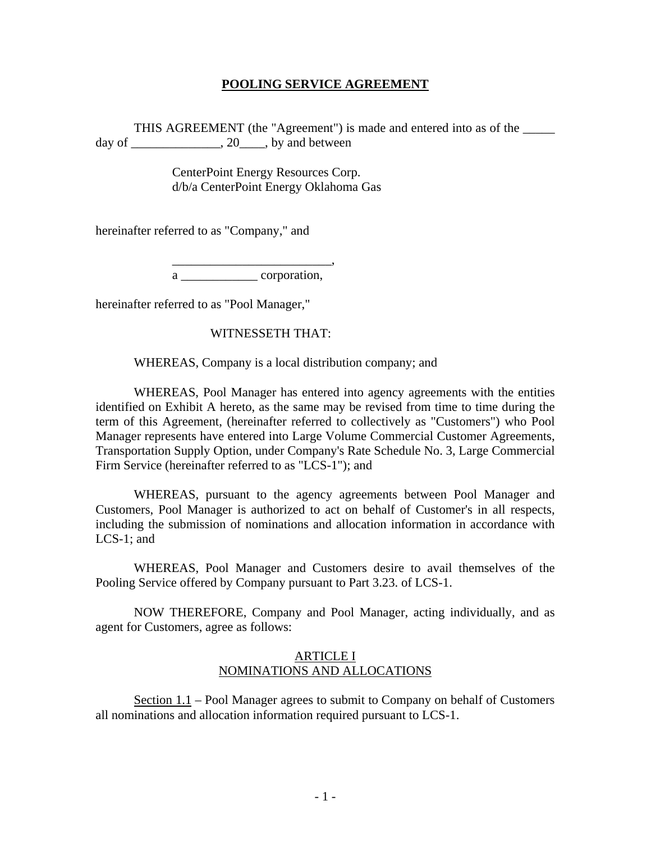# **POOLING SERVICE AGREEMENT**

THIS AGREEMENT (the "Agreement") is made and entered into as of the \_\_\_\_\_ day of \_\_\_\_\_\_\_\_\_\_\_\_\_\_\_, 20\_\_\_\_\_, by and between

> CenterPoint Energy Resources Corp. d/b/a CenterPoint Energy Oklahoma Gas

hereinafter referred to as "Company," and

 $\overline{\phantom{a}}\phantom{a}$  ,  $\overline{\phantom{a}}\phantom{a}$  ,  $\overline{\phantom{a}}\phantom{a}$  ,  $\overline{\phantom{a}}\phantom{a}$  ,  $\overline{\phantom{a}}\phantom{a}$  ,  $\overline{\phantom{a}}\phantom{a}$  ,  $\overline{\phantom{a}}\phantom{a}$  ,  $\overline{\phantom{a}}\phantom{a}$  ,  $\overline{\phantom{a}}\phantom{a}$  ,  $\overline{\phantom{a}}\phantom{a}$  ,  $\overline{\phantom{a}}\phantom{a}$  ,

a corporation,

hereinafter referred to as "Pool Manager,"

### WITNESSETH THAT:

WHEREAS, Company is a local distribution company; and

 WHEREAS, Pool Manager has entered into agency agreements with the entities identified on Exhibit A hereto, as the same may be revised from time to time during the term of this Agreement, (hereinafter referred to collectively as "Customers") who Pool Manager represents have entered into Large Volume Commercial Customer Agreements, Transportation Supply Option, under Company's Rate Schedule No. 3, Large Commercial Firm Service (hereinafter referred to as "LCS-1"); and

 WHEREAS, pursuant to the agency agreements between Pool Manager and Customers, Pool Manager is authorized to act on behalf of Customer's in all respects, including the submission of nominations and allocation information in accordance with LCS-1; and

 WHEREAS, Pool Manager and Customers desire to avail themselves of the Pooling Service offered by Company pursuant to Part 3.23. of LCS-1.

 NOW THEREFORE, Company and Pool Manager, acting individually, and as agent for Customers, agree as follows:

## ARTICLE I NOMINATIONS AND ALLOCATIONS

 Section 1.1 – Pool Manager agrees to submit to Company on behalf of Customers all nominations and allocation information required pursuant to LCS-1.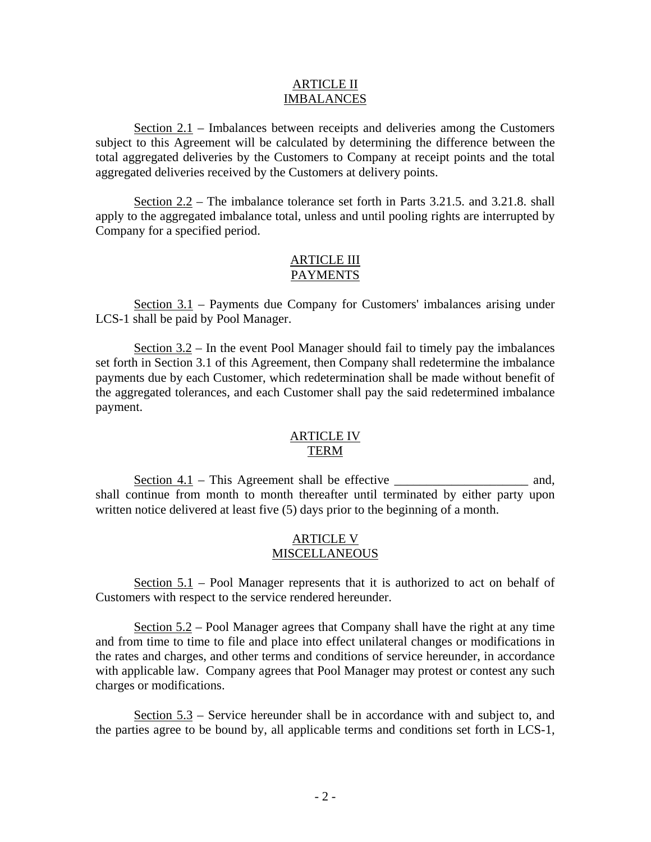#### ARTICLE II IMBALANCES

Section  $2.1$  – Imbalances between receipts and deliveries among the Customers subject to this Agreement will be calculated by determining the difference between the total aggregated deliveries by the Customers to Company at receipt points and the total aggregated deliveries received by the Customers at delivery points.

 Section 2.2 – The imbalance tolerance set forth in Parts 3.21.5. and 3.21.8. shall apply to the aggregated imbalance total, unless and until pooling rights are interrupted by Company for a specified period.

#### ARTICLE III PAYMENTS

 Section 3.1 – Payments due Company for Customers' imbalances arising under LCS-1 shall be paid by Pool Manager.

Section  $3.2$  – In the event Pool Manager should fail to timely pay the imbalances set forth in Section 3.1 of this Agreement, then Company shall redetermine the imbalance payments due by each Customer, which redetermination shall be made without benefit of the aggregated tolerances, and each Customer shall pay the said redetermined imbalance payment.

# ARTICLE IV TERM

Section  $4.1$  – This Agreement shall be effective \_\_\_\_\_\_\_\_\_\_\_\_\_\_\_\_\_\_\_\_\_\_\_\_\_ and, shall continue from month to month thereafter until terminated by either party upon written notice delivered at least five (5) days prior to the beginning of a month.

## ARTICLE V **MISCELLANEOUS**

 Section 5.1 – Pool Manager represents that it is authorized to act on behalf of Customers with respect to the service rendered hereunder.

 Section 5.2 – Pool Manager agrees that Company shall have the right at any time and from time to time to file and place into effect unilateral changes or modifications in the rates and charges, and other terms and conditions of service hereunder, in accordance with applicable law. Company agrees that Pool Manager may protest or contest any such charges or modifications.

 Section 5.3 – Service hereunder shall be in accordance with and subject to, and the parties agree to be bound by, all applicable terms and conditions set forth in LCS-1,